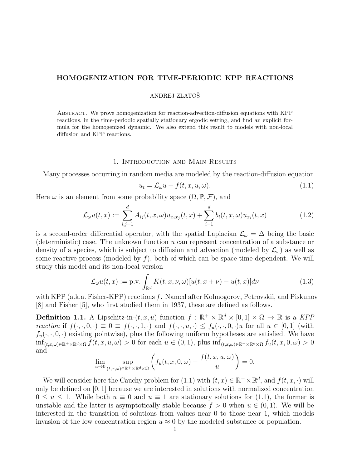# HOMOGENIZATION FOR TIME-PERIODIC KPP REACTIONS

## ANDREJ ZLATOŠ

Abstract. We prove homogenization for reaction-advection-diffusion equations with KPP reactions, in the time-periodic spatially stationary ergodic setting, and find an explicit formula for the homogenized dynamic. We also extend this result to models with non-local diffusion and KPP reactions.

## 1. Introduction and Main Results

Many processes occurring in random media are modeled by the reaction-diffusion equation

$$
u_t = \mathcal{L}_{\omega} u + f(t, x, u, \omega). \tag{1.1}
$$

Here  $\omega$  is an element from some probability space  $(\Omega, \mathbb{P}, \mathcal{F})$ , and

$$
\mathcal{L}_{\omega}u(t,x) := \sum_{i,j=1}^{d} A_{ij}(t,x,\omega)u_{x_ix_j}(t,x) + \sum_{i=1}^{d} b_i(t,x,\omega)u_{x_i}(t,x)
$$
(1.2)

is a second-order differential operator, with the spatial Laplacian  $\mathcal{L}_{\omega} = \Delta$  being the basic (deterministic) case. The unknown function  $u$  can represent concentration of a substance or density of a species, which is subject to diffusion and advection (modeled by  $\mathcal{L}_{\omega}$ ) as well as some reactive process (modeled by  $f$ ), both of which can be space-time dependent. We will study this model and its non-local version

$$
\mathcal{L}_{\omega}u(t,x) := \text{p.v.} \int_{\mathbb{R}^d} K(t,x,\nu,\omega)[u(t,x+\nu) - u(t,x)]d\nu \tag{1.3}
$$

with KPP (a.k.a. Fisher-KPP) reactions f. Named after Kolmogorov, Petrovskii, and Piskunov [8] and Fisher [5], who first studied them in 1937, these are defined as follows.

**Definition 1.1.** A Lipschitz-in- $(t, x, u)$  function  $f : \mathbb{R}^+ \times \mathbb{R}^d \times [0, 1] \times \Omega \to \mathbb{R}$  is a KPP reaction if  $f(\cdot,\cdot,0,\cdot)\equiv 0\equiv f(\cdot,\cdot,1,\cdot)$  and  $f(\cdot,\cdot,u,\cdot)\leq f_u(\cdot,\cdot,0,\cdot)u$  for all  $u\in [0,1]$  (with  $f_u(\cdot, \cdot, 0, \cdot)$  existing pointwise), plus the following uniform hypotheses are satisfied. We have  $\inf_{(t,x,\omega)\in\mathbb{R}^+\times\mathbb{R}^d\times\Omega} f(t,x,u,\omega) > 0$  for each  $u \in (0,1)$ , plus  $\inf_{(t,x,\omega)\in\mathbb{R}^+\times\mathbb{R}^d\times\Omega} f_u(t,x,0,\omega) > 0$ and

$$
\lim_{u \to 0} \sup_{(t,x,\omega) \in \mathbb{R}^+ \times \mathbb{R}^d \times \Omega} \left( f_u(t,x,0,\omega) - \frac{f(t,x,u,\omega)}{u} \right) = 0.
$$

We will consider here the Cauchy problem for (1.1) with  $(t, x) \in \mathbb{R}^+ \times \mathbb{R}^d$ , and  $f(t, x, \cdot)$  will only be defined on [0, 1] because we are interested in solutions with normalized concentration  $0 \le u \le 1$ . While both  $u \equiv 0$  and  $u \equiv 1$  are stationary solutions for (1.1), the former is unstable and the latter is asymptotically stable because  $f > 0$  when  $u \in (0, 1)$ . We will be interested in the transition of solutions from values near 0 to those near 1, which models invasion of the low concentration region  $u \approx 0$  by the modeled substance or population.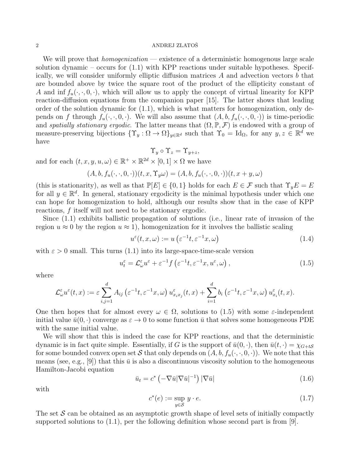We will prove that *homogenization* — existence of a deterministic homogenous large scale solution dynamic – occurs for (1.1) with KPP reactions under suitable hypotheses. Specifically, we will consider uniformly elliptic diffusion matrices A and advection vectors b that are bounded above by twice the square root of the product of the ellipticity constant of A and inf  $f_u(\cdot, \cdot, 0, \cdot)$ , which will allow us to apply the concept of virtual linearity for KPP reaction-diffusion equations from the companion paper [15]. The latter shows that leading order of the solution dynamic for (1.1), which is what matters for homogenization, only depends on f through  $f_u(\cdot, \cdot, 0, \cdot)$ . We will also assume that  $(A, b, f_u(\cdot, \cdot, 0, \cdot))$  is time-periodic and spatially stationary ergodic. The latter means that  $(\Omega, \mathbb{P}, \mathcal{F})$  is endowed with a group of measure-preserving bijections  $\{\Upsilon_y : \Omega \to \Omega\}_{y \in \mathbb{R}^d}$  such that  $\Upsilon_0 = \text{Id}_{\Omega}$ , for any  $y, z \in \mathbb{R}^d$  we have

$$
\Upsilon_y \circ \Upsilon_z = \Upsilon_{y+z},
$$

and for each  $(t, x, y, u, \omega) \in \mathbb{R}^+ \times \mathbb{R}^{2d} \times [0, 1] \times \Omega$  we have

 $(A, b, f_u(\cdot, \cdot, 0, \cdot))(t, x, \Upsilon_u \omega) = (A, b, f_u(\cdot, \cdot, 0, \cdot))(t, x + y, \omega)$ 

(this is stationarity), as well as that  $\mathbb{P}[E] \in \{0,1\}$  holds for each  $E \in \mathcal{F}$  such that  $\Upsilon_y E = E$ for all  $y \in \mathbb{R}^d$ . In general, stationary ergodicity is the minimal hypothesis under which one can hope for homogenization to hold, although our results show that in the case of KPP reactions, f itself will not need to be stationary ergodic.

Since (1.1) exhibits ballistic propagation of solutions (i.e., linear rate of invasion of the region  $u \approx 0$  by the region  $u \approx 1$ , homogenization for it involves the ballistic scaling

$$
u^{\varepsilon}(t, x, \omega) := u\left(\varepsilon^{-1}t, \varepsilon^{-1}x, \omega\right) \tag{1.4}
$$

with  $\varepsilon > 0$  small. This turns (1.1) into its large-space-time-scale version

$$
u_t^{\varepsilon} = \mathcal{L}_{\omega}^{\varepsilon} u^{\varepsilon} + \varepsilon^{-1} f\left(\varepsilon^{-1} t, \varepsilon^{-1} x, u^{\varepsilon}, \omega\right),\tag{1.5}
$$

where

$$
\mathcal{L}_{\omega}^{\varepsilon}u^{\varepsilon}(t,x):=\varepsilon\sum_{i,j=1}^{d}A_{ij}\left(\varepsilon^{-1}t,\varepsilon^{-1}x,\omega\right)u^{\varepsilon}_{x_ix_j}(t,x)+\sum_{i=1}^{d}b_i\left(\varepsilon^{-1}t,\varepsilon^{-1}x,\omega\right)u^{\varepsilon}_{x_i}(t,x).
$$

One then hopes that for almost every  $\omega \in \Omega$ , solutions to (1.5) with some  $\varepsilon$ -independent initial value  $\bar{u}(0, \cdot)$  converge as  $\varepsilon \to 0$  to some function  $\bar{u}$  that solves some homogeneous PDE with the same initial value.

We will show that this is indeed the case for KPP reactions, and that the deterministic dynamic is in fact quite simple. Essentially, if G is the support of  $\bar{u}(0, \cdot)$ , then  $\bar{u}(t, \cdot) = \chi_{G+tS}$ for some bounded convex open set S that only depends on  $(A, b, f_u(\cdot, \cdot, 0, \cdot))$ . We note that this means (see, e.g., [9]) that this  $\bar{u}$  is also a discontinuous viscosity solution to the homogeneous Hamilton-Jacobi equation

$$
\bar{u}_t = c^* \left( -\nabla \bar{u} |\nabla \bar{u}|^{-1} \right) |\nabla \bar{u}| \tag{1.6}
$$

with

$$
c^*(e) := \sup_{y \in \mathcal{S}} y \cdot e. \tag{1.7}
$$

The set  $S$  can be obtained as an asymptotic growth shape of level sets of initially compactly supported solutions to  $(1.1)$ , per the following definition whose second part is from [9].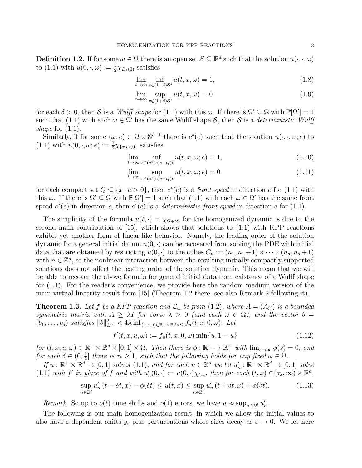**Definition 1.2.** If for some  $\omega \in \Omega$  there is an open set  $\mathcal{S} \subseteq \mathbb{R}^d$  such that the solution  $u(\cdot, \cdot, \omega)$ to (1.1) with  $u(0, \cdot, \omega) := \frac{1}{2}\chi_{B_1(0)}$  satisfies

$$
\lim_{t \to \infty} \inf_{x \in (1-\delta)St} u(t, x, \omega) = 1,\tag{1.8}
$$

$$
\lim_{t \to \infty} \sup_{x \notin (1+\delta)\mathcal{S}t} u(t, x, \omega) = 0 \tag{1.9}
$$

for each  $\delta > 0$ , then S is a Wulff shape for (1.1) with this  $\omega$ . If there is  $\Omega' \subseteq \Omega$  with  $\mathbb{P}[\Omega'] = 1$ such that (1.1) with each  $\omega \in \Omega'$  has the same Wulff shape S, then S is a *deterministic Wulff* shape for  $(1.1)$ .

Similarly, if for some  $(\omega, e) \in \Omega \times \mathbb{S}^{d-1}$  there is  $c^*(e)$  such that the solution  $u(\cdot, \cdot, \omega; e)$  to (1.1) with  $u(0, \cdot, \omega; e) := \frac{1}{2}\chi_{\{x \cdot e < 0\}}$  satisfies

$$
\lim_{t \to \infty} \inf_{x \in (c^*(e)e - Q)t} u(t, x, \omega; e) = 1,
$$
\n(1.10)

$$
\lim_{t \to \infty} \sup_{x \in (c^*(e)e+Q)t} u(t, x, \omega; e) = 0
$$
\n(1.11)

for each compact set  $Q \subseteq \{x \cdot e > 0\}$ , then  $c^*(e)$  is a *front speed* in direction e for (1.1) with this  $\omega$ . If there is  $\Omega' \subseteq \Omega$  with  $\mathbb{P}[\Omega'] = 1$  such that  $(1.1)$  with each  $\omega \in \Omega'$  has the same front speed  $c^*(e)$  in direction e, then  $c^*(e)$  is a *deterministic front speed* in direction e for (1.1).

The simplicity of the formula  $\bar{u}(t, \cdot) = \chi_{G+t\mathcal{S}}$  for the homogenized dynamic is due to the second main contribution of [15], which shows that solutions to (1.1) with KPP reactions exhibit yet another form of linear-like behavior. Namely, the leading order of the solution dynamic for a general initial datum  $u(0, \cdot)$  can be recovered from solving the PDE with initial data that are obtained by restricting  $u(0, \cdot)$  to the cubes  $C_n := (n_1, n_1 + 1) \times \cdots \times (n_d, n_d + 1)$ with  $n \in \mathbb{Z}^d$ , so the nonlinear interaction between the resulting initially compactly supported solutions does not affect the leading order of the solution dynamic. This mean that we will be able to recover the above formula for general initial data from existence of a Wulff shape for (1.1). For the reader's convenience, we provide here the random medium version of the main virtual linearity result from [15] (Theorem 1.2 there; see also Remark 2 following it).

**Theorem 1.3.** Let f be a KPP reaction and  $\mathcal{L}_{\omega}$  be from (1.2), where  $A = (A_{ij})$  is a bounded symmetric matrix with  $A \geq \lambda I$  for some  $\lambda > 0$  (and each  $\omega \in \Omega$ ), and the vector  $b =$  $(b_1, \ldots, b_d)$  satisfies  $||b||_{L^{\infty}}^2 < 4\lambda \inf_{(t,x,\omega)\in\mathbb{R}^+\times\mathbb{R}^d\times\Omega} f_u(t,x,0,\omega)$ . Let

$$
f'(t, x, u, \omega) := f_u(t, x, 0, \omega) \min\{u, 1 - u\}
$$
\n(1.12)

for  $(t, x, u, \omega) \in \mathbb{R}^+ \times \mathbb{R}^d \times [0, 1] \times \Omega$ . Then there is  $\phi : \mathbb{R}^+ \to \mathbb{R}^+$  with  $\lim_{s \to \infty} \phi(s) = 0$ , and for each  $\delta \in (0, \frac{1}{2})$  $\frac{1}{2}$  there is  $\tau_{\delta} \geq 1$ , such that the following holds for any fixed  $\omega \in \Omega$ .

If  $u : \mathbb{R}^+ \times \mathbb{R}^d \to [0,1]$  solves  $(1.1)$ , and for each  $n \in \mathbb{Z}^d$  we let  $u'_n : \mathbb{R}^+ \times \mathbb{R}^d \to [0,1]$  solve (1.1) with f' in place of f and with  $u'_n(0, \cdot) := u(0, \cdot)\chi_{C_n}$ , then for each  $(t, x) \in [\tau_\delta, \infty) \times \mathbb{R}^d$ ,

$$
\sup_{n\in\mathbb{Z}^d} u'_n(t-\delta t, x) - \phi(\delta t) \le u(t, x) \le \sup_{n\in\mathbb{Z}^d} u'_n(t+\delta t, x) + \phi(\delta t). \tag{1.13}
$$

Remark. So up to  $o(t)$  time shifts and  $o(1)$  errors, we have  $u \approx \sup_{n \in \mathbb{Z}^d} u'_n$ .

The following is our main homogenization result, in which we allow the initial values to also have  $\varepsilon$ -dependent shifts  $y_{\varepsilon}$  plus perturbations whose sizes decay as  $\varepsilon \to 0$ . We let here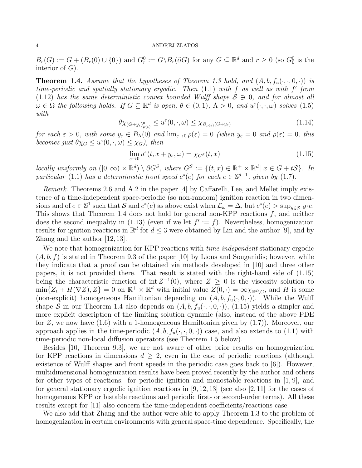$B_r(G) := G + (B_r(0) \cup \{0\})$  and  $G_r^0 := G\setminus \overline{B_r(\partial G)}$  for any  $G \subseteq \mathbb{R}^d$  and  $r \geq 0$  (so  $G_0^0$  is the interior of  $G$ ).

**Theorem 1.4.** Assume that the hypotheses of Theorem 1.3 hold, and  $(A, b, f_u(\cdot, \cdot, 0, \cdot))$  is time-periodic and spatially stationary ergodic. Then  $(1.1)$  with f as well as with f' from (1.12) has the same deterministic convex bounded Wulff shape  $S \ni 0$ , and for almost all  $\omega \in \Omega$  the following holds. If  $G \subseteq \mathbb{R}^d$  is open,  $\theta \in (0,1)$ ,  $\Lambda > 0$ , and  $u^{\varepsilon}(\cdot,\cdot,\omega)$  solves  $(1.5)$ with

$$
\theta \chi_{(G+y_{\varepsilon})_{\rho(\varepsilon)}} \le u^{\varepsilon}(0,\cdot,\omega) \le \chi_{B_{\rho(\varepsilon)}(G+y_{\varepsilon})}
$$
\n(1.14)

for each  $\varepsilon > 0$ , with some  $y_{\varepsilon} \in B_{\Lambda}(0)$  and  $\lim_{\varepsilon \to 0} \rho(\varepsilon) = 0$  (when  $y_{\varepsilon} = 0$  and  $\rho(\varepsilon) = 0$ , this becomes just  $\theta \chi_G \leq u^{\varepsilon}(0, \cdot, \omega) \leq \chi_G$ , then

$$
\lim_{\varepsilon \to 0} u^{\varepsilon}(t, x + y_{\varepsilon}, \omega) = \chi_{G} s(t, x)
$$
\n(1.15)

locally uniformly on  $([0,\infty) \times \mathbb{R}^d) \setminus \partial G^{\mathcal{S}}$ , where  $G^{\mathcal{S}} := \{(t,x) \in \mathbb{R}^+ \times \mathbb{R}^d \mid x \in G + t\mathcal{S}\}\$ . In particular (1.1) has a deterministic front speed  $c^*(e)$  for each  $e \in \mathbb{S}^{d-1}$ , given by (1.7).

Remark. Theorems 2.6 and A.2 in the paper [4] by Caffarelli, Lee, and Mellet imply existence of a time-independent space-periodic (so non-random) ignition reaction in two dimensions and of  $e \in \mathbb{S}^1$  such that  $\mathcal{S}$  and  $c^*(e)$  as above exist when  $\mathcal{L}_{\omega} = \Delta$ , but  $c^*(e) > \sup_{y \in \mathcal{S}} y \cdot e$ . This shows that Theorem 1.4 does not hold for general non-KPP reactions  $f$ , and neither does the second inequality in (1.13) (even if we let  $f' := f$ ). Nevertheless, homogenization results for ignition reactions in  $\mathbb{R}^d$  for  $d \leq 3$  were obtained by Lin and the author [9], and by Zhang and the author [12, 13].

We note that homogenization for KPP reactions with *time-independent* stationary ergodic  $(A, b, f)$  is stated in Theorem 9.3 of the paper [10] by Lions and Souganidis; however, while they indicate that a proof can be obtained via methods developed in [10] and three other papers, it is not provided there. That result is stated with the right-hand side of (1.15) being the characteristic function of int  $Z^{-1}(0)$ , where  $Z \geq 0$  is the viscosity solution to  $\min\{Z_t + H(\nabla Z), Z\} = 0$  on  $\mathbb{R}^+ \times \mathbb{R}^d$  with initial value  $Z(0, \cdot) = \infty \chi_{\mathbb{R}^d \setminus G}$ , and H is some (non-explicit) homogeneous Hamiltonian depending on  $(A, b, f_u(\cdot, 0, \cdot))$ . While the Wulff shape S in our Theorem 1.4 also depends on  $(A, b, f_u(\cdot, \cdot, 0, \cdot)),$  (1.15) yields a simpler and more explicit description of the limiting solution dynamic (also, instead of the above PDE for Z, we now have (1.6) with a 1-homogeneous Hamiltonian given by (1.7)). Moreover, our approach applies in the time-periodic  $(A, b, f_u(\cdot, \cdot, 0, \cdot))$  case, and also extends to (1.1) with time-periodic non-local diffusion operators (see Theorem 1.5 below).

Besides [10, Theorem 9.3], we are not aware of other prior results on homogenization for KPP reactions in dimensions  $d \geq 2$ , even in the case of periodic reactions (although existence of Wulff shapes and front speeds in the periodic case goes back to [6]). However, multidimensional homogenization results have been proved recently by the author and others for other types of reactions: for periodic ignition and monostable reactions in [1, 9], and for general stationary ergodic ignition reactions in  $[9, 12, 13]$  (see also  $[2, 11]$  for the cases of homogeneous KPP or bistable reactions and periodic first- or second-order terms). All these results except for [11] also concern the time-independent coefficients/reactions case.

We also add that Zhang and the author were able to apply Theorem 1.3 to the problem of homogenization in certain environments with general space-time dependence. Specifically, the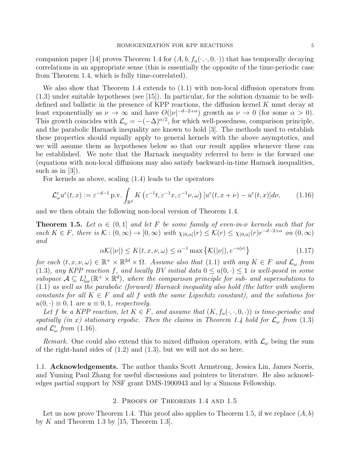companion paper [14] proves Theorem 1.4 for  $(A, b, f_u(\cdot, \cdot, 0, \cdot))$  that has temporally decaying correlations in an appropriate sense (this is essentially the opposite of the time-periodic case from Theorem 1.4, which is fully time-correlated).

We also show that Theorem 1.4 extends to (1.1) with non-local diffusion operators from (1.3) under suitable hypotheses (see [15]). In particular, for the solution dynamic to be welldefined and ballistic in the presence of KPP reactions, the diffusion kernel  $K$  must decay at least exponentially as  $\nu \to \infty$  and have  $O(|\nu|^{-d-2+\alpha})$  growth as  $\nu \to 0$  (for some  $\alpha > 0$ ). This growth coincides with  $\mathcal{L}_{\omega} = -(-\Delta)^{\alpha/2}$ , for which well-posedness, comparison principle, and the parabolic Harnack inequality are known to hold [3]. The methods used to establish these properties should equally apply to general kernels with the above asymptotics, and we will assume them as hypotheses below so that our result applies whenever these can be established. We note that the Harnack inequality referred to here is the forward one (equations with non-local diffusions may also satisfy backward-in-time Harnack inequalities, such as in [3]).

For kernels as above, scaling (1.4) leads to the operators

$$
\mathcal{L}_{\omega}^{\varepsilon}u^{\varepsilon}(t,x) := \varepsilon^{-d-1} \operatorname{p.v.} \int_{\mathbb{R}^d} K\left(\varepsilon^{-1}t, \varepsilon^{-1}x, \varepsilon^{-1}\nu, \omega\right) \left[u^{\varepsilon}(t,x+\nu) - u^{\varepsilon}(t,x)\right]d\nu, \tag{1.16}
$$

and we then obtain the following non-local version of Theorem 1.4.

**Theorem 1.5.** Let  $\alpha \in (0,1]$  and let F be some family of even-in- $\nu$  kernels such that for each  $K \in F$ , there is  $\mathcal{K} : (0, \infty) \to [0, \infty)$  with  $\chi_{(0, \alpha]}(r) \leq \mathcal{K}(r) \leq \chi_{(0, \alpha]}(r) r^{-d-2+\alpha}$  on  $(0, \infty)$ and

$$
\alpha \mathcal{K}(|\nu|) \le K(t, x, \nu, \omega) \le \alpha^{-1} \max \left\{ \mathcal{K}(|\nu|), e^{-\alpha |\nu|} \right\} \tag{1.17}
$$

for each  $(t, x, \nu, \omega) \in \mathbb{R}^+ \times \mathbb{R}^{2d} \times \Omega$ . Assume also that (1.1) with any  $K \in F$  and  $\mathcal{L}_{\omega}$  from (1.3), any KPP reaction f, and locally BV initial data  $0 \le u(0, \cdot) \le 1$  is well-posed in some subspace  $\mathcal{A} \subseteq L^1_{loc}(\mathbb{R}^+ \times \mathbb{R}^d)$ , where the comparison principle for sub- and supersolutions to (1.1) as well as the parabolic (forward) Harnack inequality also hold (the latter with uniform constants for all  $K \in F$  and all f with the same Lipschitz constant), and the solutions for  $u(0, \cdot) \equiv 0, 1$  are  $u \equiv 0, 1$ , respectively.

Let f be a KPP reaction, let  $K \in F$ , and assume that  $(K, f_u(\cdot, \cdot, 0, \cdot))$  is time-periodic and spatially (in x) stationary ergodic. Then the claims in Theorem 1.4 hold for  $\mathcal{L}_{\omega}$  from (1.3) and  $\mathcal{L}^{\varepsilon}_{\omega}$  from (1.16).

Remark. One could also extend this to mixed diffusion operators, with  $\mathcal{L}_{\omega}$  being the sum of the right-hand sides of  $(1.2)$  and  $(1.3)$ , but we will not do so here.

1.1. Acknowledgements. The author thanks Scott Armstrong, Jessica Lin, James Norris, and Yuming Paul Zhang for useful discussions and pointers to literature. He also acknowledges partial support by NSF grant DMS-1900943 and by a Simons Fellowship.

## 2. Proofs of Theorems 1.4 and 1.5

Let us now prove Theorem 1.4. This proof also applies to Theorem 1.5, if we replace  $(A, b)$ by  $K$  and Theorem 1.3 by [15, Theorem 1.3].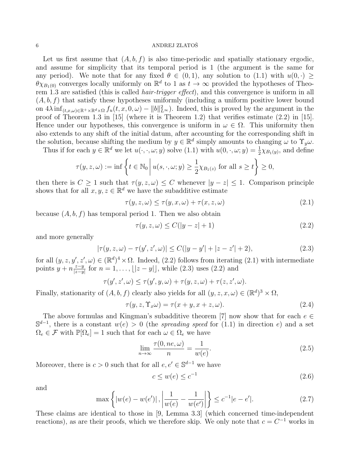Let us first assume that  $(A, b, f)$  is also time-periodic and spatially stationary ergodic, and assume for simplicity that its temporal period is 1 (the argument is the same for any period). We note that for any fixed  $\theta \in (0,1)$ , any solution to  $(1.1)$  with  $u(0, \cdot)$  $\theta \chi_{B_1(0)}$  converges locally uniformly on  $\mathbb{R}^d$  to 1 as  $t \to \infty$  provided the hypotheses of Theorem 1.3 are satisfied (this is called hair-trigger effect), and this convergence is uniform in all  $(A, b, f)$  that satisfy these hypotheses uniformly (including a uniform positive lower bound on  $4\lambda \inf_{(t,x,\omega)\in\mathbb{R}^+\times\mathbb{R}^d\times\Omega} f_u(t,x,0,\omega) - ||b||_{L^\infty}^2$ . Indeed, this is proved by the argument in the proof of Theorem 1.3 in [15] (where it is Theorem 1.2) that verifies estimate (2.2) in [15]. Hence under our hypotheses, this convergence is uniform in  $\omega \in \Omega$ . This uniformity then also extends to any shift of the initial datum, after accounting for the corresponding shift in the solution, because shifting the medium by  $y \in \mathbb{R}^d$  simply amounts to changing  $\omega$  to  $\Upsilon_y \omega$ .

Thus if for each  $y \in \mathbb{R}^d$  we let  $u(\cdot, \cdot, \omega; y)$  solve  $(1.1)$  with  $u(0, \cdot, \omega; y) = \frac{1}{2} \chi_{B_1(y)}$ , and define

$$
\tau(y, z, \omega) := \inf \left\{ t \in \mathbb{N}_0 \, \middle| \, u(s, \cdot, \omega; y) \ge \frac{1}{2} \chi_{B_1(z)} \text{ for all } s \ge t \right\} \ge 0,
$$

then there is  $C \geq 1$  such that  $\tau(y, z, \omega) \leq C$  whenever  $|y - z| \leq 1$ . Comparison principle shows that for all  $x, y, z \in \mathbb{R}^d$  we have the subadditive estimate

$$
\tau(y, z, \omega) \le \tau(y, x, \omega) + \tau(x, z, \omega) \tag{2.1}
$$

because  $(A, b, f)$  has temporal period 1. Then we also obtain

$$
\tau(y, z, \omega) \le C(|y - z| + 1) \tag{2.2}
$$

and more generally

$$
|\tau(y, z, \omega) - \tau(y', z', \omega)| \le C(|y - y'| + |z - z'| + 2),
$$
\n(2.3)

for all  $(y, z, y', z', \omega) \in (\mathbb{R}^d)^4 \times \Omega$ . Indeed, (2.2) follows from iterating (2.1) with intermediate points  $y + n \frac{z-y}{|z-y|}$  $\frac{z-y}{|z-y|}$  for  $n = 1, ..., \lfloor |z - y| \rfloor$ , while (2.3) uses (2.2) and

$$
\tau(y',z',\omega) \leq \tau(y',y,\omega) + \tau(y,z,\omega) + \tau(z,z',\omega).
$$

Finally, stationarity of  $(A, b, f)$  clearly also yields for all  $(y, z, x, \omega) \in (\mathbb{R}^d)^3 \times \Omega$ ,

$$
\tau(y, z, \Upsilon_x \omega) = \tau(x + y, x + z, \omega). \tag{2.4}
$$

The above formulas and Kingman's subadditive theorem [7] now show that for each  $e \in$  $\mathbb{S}^{d-1}$ , there is a constant  $w(e) > 0$  (the spreading speed for (1.1) in direction e) and a set  $\Omega_e \in \mathcal{F}$  with  $\mathbb{P}[\Omega_e] = 1$  such that for each  $\omega \in \Omega_e$  we have

$$
\lim_{n \to \infty} \frac{\tau(0, ne, \omega)}{n} = \frac{1}{w(e)}.
$$
\n(2.5)

Moreover, there is  $c > 0$  such that for all  $e, e' \in \mathbb{S}^{d-1}$  we have

$$
c \le w(e) \le c^{-1} \tag{2.6}
$$

and

$$
\max\left\{|w(e) - w(e')|, \left|\frac{1}{w(e)} - \frac{1}{w(e')}\right|\right\} \le c^{-1}|e - e'|.
$$
\n(2.7)

These claims are identical to those in [9, Lemma 3.3] (which concerned time-independent reactions), as are their proofs, which we therefore skip. We only note that  $c = C^{-1}$  works in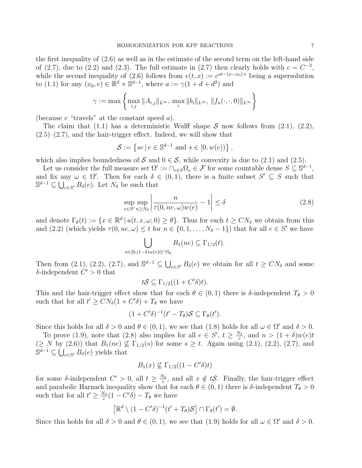the first inequality of (2.6) as well as in the estimate of the second term on the left-hand side of (2.7), due to (2.2) and (2.3). The full estimate in (2.7) then clearly holds with  $c = C^{-3}$ , while the second inequality of (2.6) follows from  $v(t, x) := e^{at-(x-x_0)e}$  being a supersolution to (1.1) for any  $(x_0, e) \in \mathbb{R}^d \times \mathbb{S}^{d-1}$ , where  $a := \gamma(1 + d + d^2)$  and

$$
\gamma := \max \left\{ \max_{i,j} \|A_{i,j}\|_{L^{\infty}}, \, \max_{i} \|b_i\|_{L^{\infty}}, \, \|f_u(\cdot,\cdot,0)\|_{L^{\infty}} \right\}
$$

(because  $v$  "travels" at the constant speed  $a$ ).

The claim that (1.1) has a deterministic Wulff shape  $S$  now follows from (2.1), (2.2),  $(2.5)$ – $(2.7)$ , and the hair-trigger effect. Indeed, we will show that

$$
\mathcal{S} := \left\{ se \, \vert \, e \in \mathbb{S}^{d-1} \text{ and } s \in [0, w(e)] \right\},\
$$

which also implies boundedness of S and  $0 \in S$ , while convexity is due to (2.1) and (2.5).

Let us consider the full measure set  $\Omega' := \bigcap_{e \in S} \Omega_e \in \mathcal{F}$  for some countable dense  $S \subseteq \mathbb{S}^{d-1}$ , and fix any  $\omega \in \Omega'$ . Then for each  $\delta \in (0,1)$ , there is a finite subset  $S' \subseteq S$  such that  $\mathbb{S}^{d-1} \subseteq \bigcup_{e \in S'} B_{\delta}(e)$ . Let  $N_{\delta}$  be such that

$$
\sup_{e \in S'} \sup_{n \ge N_{\delta}} \left| \frac{n}{\tau(0, ne, \omega)w(e)} - 1 \right| \le \delta
$$
\n(2.8)

and denote  $\Gamma_{\theta}(t) := \{x \in \mathbb{R}^d \mid u(t, x, \omega; 0) \geq \theta\}$ . Thus for each  $t \geq CN_{\delta}$  we obtain from this and (2.2) (which yields  $\tau(0, ne, \omega) \le t$  for  $n \in \{0, 1, ..., N_{\delta} - 1\}$ ) that for all  $e \in S'$  we have

$$
\bigcup_{n\in[0,(1-\delta)w(e)t]\cap\mathbb{N}_0}B_1(ne)\subseteq\Gamma_{1/2}(t).
$$

Then from (2.1), (2.2), (2.7), and  $\mathbb{S}^{d-1} \subseteq \bigcup_{e \in S'} B_{\delta}(e)$  we obtain for all  $t \geq CN_{\delta}$  and some  $\delta$ -independent  $C' > 0$  that

$$
tS \subseteq \Gamma_{1/2}((1+C'\delta)t).
$$

This and the hair-trigger effect show that for each  $\theta \in (0,1)$  there is  $\delta$ -independent  $T_{\theta} > 0$ such that for all  $t' \geq CN_{\delta}(1 + C'\delta) + T_{\theta}$  we have

$$
(1+C'\delta)^{-1}(t'-T_{\theta})\mathcal{S}\subseteq\Gamma_{\theta}(t').
$$

Since this holds for all  $\delta > 0$  and  $\theta \in (0,1)$ , we see that  $(1.8)$  holds for all  $\omega \in \Omega'$  and  $\delta > 0$ .

To prove (1.9), note that (2.8) also implies for all  $e \in S'$ ,  $t \geq \frac{N_{\delta}}{c}$  $\frac{\mathsf{v}_{\delta}}{c}$ , and  $n > (1 + \delta)w(e)t$  $(\geq N$  by  $(2.6)$ ) that  $B_1(ne) \nsubseteq \Gamma_{1/2}(s)$  for some  $s \geq t$ . Again using  $(2.1)$ ,  $(2.2)$ ,  $(2.7)$ , and  $\mathbb{S}^{d-1} \subseteq \bigcup_{e \in S'} B_{\delta}(e)$  yields that

$$
B_1(x) \nsubseteq \Gamma_{1/2}((1 - C'\delta)t)
$$

for some  $\delta$ -independent  $C' > 0$ , all  $t \geq \frac{N_{\delta}}{c}$  $\frac{\partial \mathcal{S}_s}{\partial c}$ , and all  $x \notin t\mathcal{S}$ . Finally, the hair-trigger effect and parabolic Harnack inequality show that for each  $\theta \in (0,1)$  there is  $\delta$ -independent  $T_{\theta} > 0$ such that for all  $t' \geq \frac{N_\delta}{c}$  $\frac{N_{\delta}}{c}(1-C'\delta)-T_{\theta}$  we have

$$
\left[\mathbb{R}^d\setminus(1-C'\delta)^{-1}(t'+T_{\theta})\mathcal{S}\right]\cap\Gamma_{\theta}(t')=\emptyset.
$$

Since this holds for all  $\delta > 0$  and  $\theta \in (0, 1)$ , we see that  $(1.9)$  holds for all  $\omega \in \Omega'$  and  $\delta > 0$ .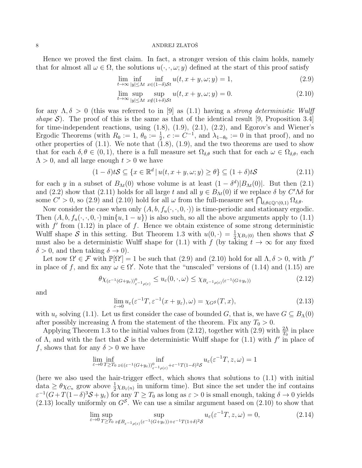Hence we proved the first claim. In fact, a stronger version of this claim holds, namely that for almost all  $\omega \in \Omega$ , the solutions  $u(\cdot, \cdot, \omega; y)$  defined at the start of this proof satisfy

$$
\lim_{t \to \infty} \inf_{|y| \le \Lambda t} \inf_{x \in (1-\delta)\mathcal{S}t} u(t, x+y, \omega; y) = 1,\tag{2.9}
$$

$$
\lim_{t \to \infty} \sup_{|y| \le \Lambda t} \sup_{x \notin (1+\delta)\mathcal{S}t} u(t, x+y, \omega; y) = 0.
$$
\n(2.10)

for any  $\Lambda, \delta > 0$  (this was referred to in [9] as (1.1) having a *strong deterministic Wulff* shape S). The proof of this is the same as that of the identical result [9, Proposition 3.4] for time-independent reactions, using (1.8), (1.9), (2.1), (2.2), and Egorov's and Wiener's Ergodic Theorems (with  $R_0 := 1$ ,  $\theta_0 := \frac{1}{2}$ ,  $c := C^{-1}$ , and  $\lambda_{1-\theta_0} := 0$  in that proof), and no other properties of  $(1.1)$ . We note that  $(1.8)$ ,  $(1.9)$ , and the two theorems are used to show that for each  $\delta, \theta \in (0, 1)$ , there is a full measure set  $\Omega_{\delta,\theta}$  such that for each  $\omega \in \Omega_{\delta,\theta}$ , each  $\Lambda > 0$ , and all large enough  $t > 0$  we have

$$
(1 - \delta)tS \subseteq \{x \in \mathbb{R}^d \mid u(t, x + y, \omega; y) \ge \theta\} \subseteq (1 + \delta)tS
$$
\n(2.11)

for each y in a subset of  $B_{\Lambda t}(0)$  whose volume is at least  $(1 - \delta^d)|B_{\Lambda t}(0)|$ . But then  $(2.1)$ and (2.2) show that (2.11) holds for all large t and all  $y \in B_{\Lambda t}(0)$  if we replace  $\delta$  by  $C'\Lambda\delta$  for some  $C' > 0$ , so (2.9) and (2.10) hold for all  $\omega$  from the full-measure set  $\bigcap_{\delta,\theta \in \mathbb{Q}\cap(0,1)} \Omega_{\delta,\theta}$ .

Now consider the case when only  $(A, b, f_u(\cdot, \cdot, 0, \cdot))$  is time-periodic and stationary ergodic. Then  $(A, b, f_u(\cdot, \cdot, 0, \cdot) \min\{u, 1 - u\})$  is also such, so all the above arguments apply to  $(1.1)$ with  $f'$  from (1.12) in place of f. Hence we obtain existence of some strong deterministic Wulff shape S in this setting. But Theorem 1.3 with  $u(0, \cdot) = \frac{1}{2}\chi_{B_1(0)}$  then shows that S must also be a deterministic Wulff shape for (1.1) with f (by taking  $t \to \infty$  for any fixed  $\delta > 0$ , and then taking  $\delta \to 0$ ).

Let now  $\Omega' \in \mathcal{F}$  with  $\mathbb{P}[\Omega'] = 1$  be such that (2.9) and (2.10) hold for all  $\Lambda, \delta > 0$ , with  $f'$ in place of f, and fix any  $\omega \in \Omega'$ . Note that the "unscaled" versions of (1.14) and (1.15) are

$$
\theta \chi_{(\varepsilon^{-1}(G+y_{\varepsilon}))_{\varepsilon^{-1}\rho(\varepsilon)}} \le u_{\varepsilon}(0,\cdot,\omega) \le \chi_{B_{\varepsilon^{-1}\rho(\varepsilon)}(\varepsilon^{-1}(G+y_{\varepsilon}))}
$$
(2.12)

and

$$
\lim_{\varepsilon \to 0} u_{\varepsilon}(\varepsilon^{-1}T, \varepsilon^{-1}(x + y_{\varepsilon}), \omega) = \chi_{G}(\mathcal{F}, x), \tag{2.13}
$$

with  $u_{\varepsilon}$  solving (1.1). Let us first consider the case of bounded G, that is, we have  $G \subseteq B_\Lambda(0)$ after possibly increasing  $\Lambda$  from the statement of the theorem. Fix any  $T_0 > 0$ .

Applying Theorem 1.3 to the initial values from (2.12), together with (2.9) with  $\frac{2\Lambda}{T_0}$  in place of  $\Lambda$ , and with the fact that S is the deterministic Wulff shape for (1.1) with  $f'$  in place of f, shows that for any  $\delta > 0$  we have

$$
\lim_{\varepsilon \to 0} \inf_{T \ge T_0} \inf_{z \in (\varepsilon^{-1}(G + y_\varepsilon))_{\varepsilon^{-1}\rho(\varepsilon)}^0 + \varepsilon^{-1} T (1 - \delta)^2 \mathcal{S}} u_\varepsilon(\varepsilon^{-1}T, z, \omega) = 1
$$

(here we also used the hair-trigger effect, which shows that solutions to (1.1) with initial data  $\geq \theta \chi_{C_n}$  grow above  $\frac{1}{2} \chi_{B_1(n)}$  in uniform time). But since the set under the inf contains  $\varepsilon^{-1}(G+T(1-\delta)^3S+y_\varepsilon)$  for any  $T\geq T_0$  as long as  $\varepsilon>0$  is small enough, taking  $\delta\to 0$  yields  $(2.13)$  locally uniformly on  $G^S$ . We can use a similar argument based on  $(2.10)$  to show that

$$
\lim_{\varepsilon \to 0} \sup_{T \ge T_0} \sup_{z \notin B_{\varepsilon^{-1} \rho(\varepsilon)} \left(\varepsilon^{-1} (G + y_{\varepsilon})\right) + \varepsilon^{-1} T (1 + \delta)^2 \mathcal{S}} u_{\varepsilon} \left(\varepsilon^{-1} T, z, \omega\right) = 0, \tag{2.14}
$$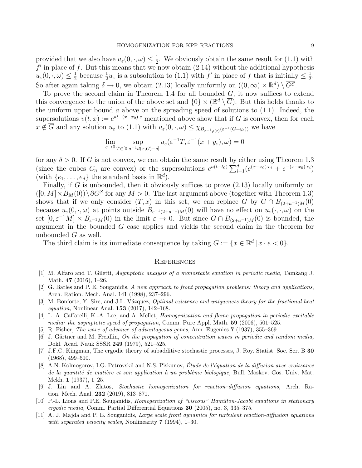provided that we also have  $u_{\varepsilon}(0, \cdot, \omega) \leq \frac{1}{2}$  $\frac{1}{2}$ . We obviously obtain the same result for  $(1.1)$  with  $f'$  in place of f. But this means that we now obtain (2.14) without the additional hypothesis  $u_{\varepsilon}(0, \cdot, \omega) \leq \frac{1}{2}$ <sup>1</sup>/<sub>2</sub> because  $\frac{1}{2}u_{\varepsilon}$  is a subsolution to (1.1) with  $f'$  in place of f that is initially  $\leq \frac{1}{2}$  $\frac{1}{2}$ . So after again taking  $\delta \to 0$ , we obtain (2.13) locally uniformly on  $((0,\infty) \times \mathbb{R}^d) \setminus \overline{G^S}$ .

To prove the second claim in Theorem 1.4 for all bounded  $G$ , it now suffices to extend this convergence to the union of the above set and  $\{0\} \times (\mathbb{R}^d \setminus \overline{G})$ . But this holds thanks to the uniform upper bound  $\alpha$  above on the spreading speed of solutions to  $(1.1)$ . Indeed, the supersolutions  $v(t, x) := e^{at - (x - x_0)\cdot e}$  mentioned above show that if G is convex, then for each  $x \notin \overline{G}$  and any solution  $u_{\varepsilon}$  to  $(1.1)$  with  $u_{\varepsilon}(0, \cdot, \omega) \leq \chi_{B_{\varepsilon^{-1}\rho(\varepsilon)}(\varepsilon^{-1}(G+y_{\varepsilon}))}$  we have

$$
\lim_{\varepsilon \to 0} \sup_{T \in [0, a^{-1}d(x, G) - \delta]} u_{\varepsilon}(\varepsilon^{-1}T, \varepsilon^{-1}(x + y_{\varepsilon}), \omega) = 0
$$

for any  $\delta > 0$ . If G is not convex, we can obtain the same result by either using Theorem 1.3 (since the cubes  $C_n$  are convex) or the supersolutions  $e^{a(t-t_0)} \sum_{i=1}^d (e^{(x-x_0)\cdot e_i} + e^{-(x-x_0)\cdot e_i})$ (with  $\{e_1, \ldots, e_d\}$  the standard basis in  $\mathbb{R}^d$ ).

Finally, if G is unbounded, then it obviously suffices to prove  $(2.13)$  locally uniformly on  $([0, M] \times B_M(0)) \setminus \partial G^S$  for any  $M > 0$ . The last argument above (together with Theorem 1.3) shows that if we only consider  $(T, x)$  in this set, we can replace G by  $G \cap B_{(2+a^{-1})M}(0)$ because  $u_{\varepsilon}(0, \cdot, \omega)$  at points outside  $B_{\varepsilon^{-1}(2+a^{-1})M}(0)$  will have no effect on  $u_{\varepsilon}(\cdot, \cdot, \omega)$  on the set  $[0, \varepsilon^{-1}M] \times B_{\varepsilon^{-1}M}(0)$  in the limit  $\varepsilon \to 0$ . But since  $G \cap B_{(2+a^{-1})M}(0)$  is bounded, the argument in the bounded G case applies and yields the second claim in the theorem for unbounded  $G$  as well.

The third claim is its immediate consequence by taking  $G := \{x \in \mathbb{R}^d \mid x \cdot e < 0\}.$ 

## **REFERENCES**

- [1] M. Alfaro and T. Giletti, Asymptotic analysis of a monostable equation in periodic media, Tamkang J. Math. 47 (2016), 1–26.
- [2] G. Barles and P. E. Souganidis, A new approach to front propagation problems: theory and applications, Arch. Ration. Mech. Anal. 141 (1998), 237–296.
- [3] M. Bonforte, Y. Sire, and J.L. Vázquez, *Optimal existence and uniqueness theory for the fractional heat* equation, Nonlinear Anal. 153 (2017), 142–168.
- [4] L. A. Caffarelli, K.-A. Lee, and A. Mellet, Homogenization and flame propagation in periodic excitable media: the asymptotic speed of propagation, Comm. Pure Appl. Math.  $59$  (2006), 501–525.
- [5] R. Fisher, The wave of advance of advantageous genes, Ann. Eugenics 7 (1937), 355–369.
- [6] J. Gärtner and M. Freidlin, On the propagation of concentration waves in periodic and random media, Dokl. Acad. Nauk SSSR 249 (1979), 521–525.
- [7] J.F.C. Kingman, The ergodic theory of subadditive stochastic processes, J. Roy. Statist. Soc. Ser. B 30 (1968), 499–510.
- [8] A.N. Kolmogorov, I.G. Petrovskii and N.S. Piskunov, Étude de l'équation de la diffusion avec croissance de la quantité de matière et son application à un problème biologique, Bull. Moskov. Gos. Univ. Mat. Mekh. 1 (1937), 1–25.
- [9] J. Lin and A. Zlatoš, Stochastic homogenization for reaction–diffusion equations, Arch. Ration. Mech. Anal. 232 (2019), 813–871.
- [10] P.-L. Lions and P.E. Souganidis, Homogenization of "viscous" Hamilton-Jacobi equations in stationary ergodic media, Comm. Partial Differential Equations 30 (2005), no. 3, 335–375.
- [11] A. J. Majda and P. E. Souganidis, Large scale front dynamics for turbulent reaction-diffusion equations with separated velocity scales, Nonlinearity 7 (1994), 1-30.